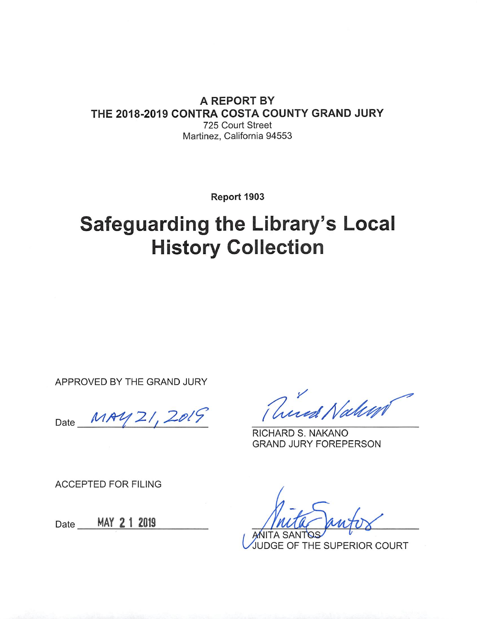### A REPORT BY THE 2018-2019 CONTRA COSTA COUNTY GRAND JURY 725 Court Street Martinez, California 94553

Report 1903

# **Safeguarding the Library's Local History Collection**

APPROVED BY THE GRAND JURY

MAY 21, 2019 Date

RICHARD S. NAKANO **GRAND JURY FOREPERSON** 

**ACCEPTED FOR FILING** 

Date MAY 2 1 2019

**JUDGE OF THE SUPERIOR COURT**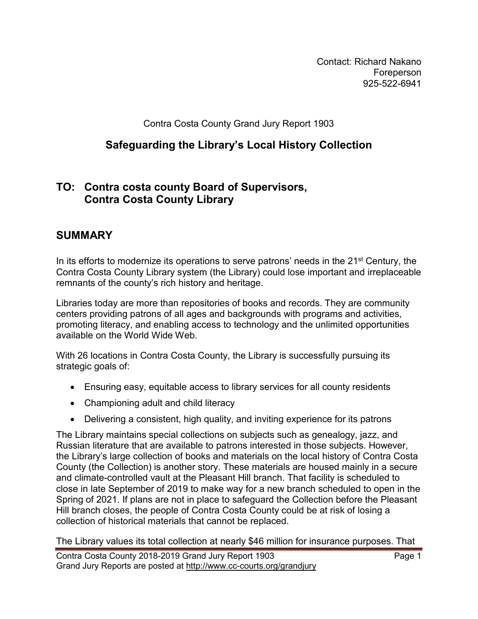Contact: Richard Nakano Foreperson 925-522-6941

Contra Costa County Grand Jury Report 1903

### **Safeguarding the Library's Local History Collection**

### **TO: Contra costa county Board of Supervisors, Contra Costa County Library**

### **SUMMARY**

In its efforts to modernize its operations to serve patrons' needs in the  $21<sup>st</sup>$  Century, the Contra Costa County Library system (the Library) could lose important and irreplaceable remnants of the county's rich history and heritage.

Libraries today are more than repositories of books and records. They are community centers providing patrons of all ages and backgrounds with programs and activities, promoting literacy, and enabling access to technology and the unlimited opportunities available on the World Wide Web.

With 26 locations in Contra Costa County, the Library is successfully pursuing its strategic goals of:

- Ensuring easy, equitable access to library services for all county residents
- Championing adult and child literacy
- Delivering a consistent, high quality, and inviting experience for its patrons

The Library maintains special collections on subjects such as genealogy, jazz, and Russian literature that are available to patrons interested in those subjects. However, the Library's large collection of books and materials on the local history of Contra Costa County (the Collection) is another story. These materials are housed mainly in a secure and climate-controlled vault at the Pleasant Hill branch. That facility is scheduled to close in late September of 2019 to make way for a new branch scheduled to open in the Spring of 2021. If plans are not in place to safeguard the Collection before the Pleasant Hill branch closes, the people of Contra Costa County could be at risk of losing a collection of historical materials that cannot be replaced.

The Library values its total collection at nearly \$46 million for insurance purposes. That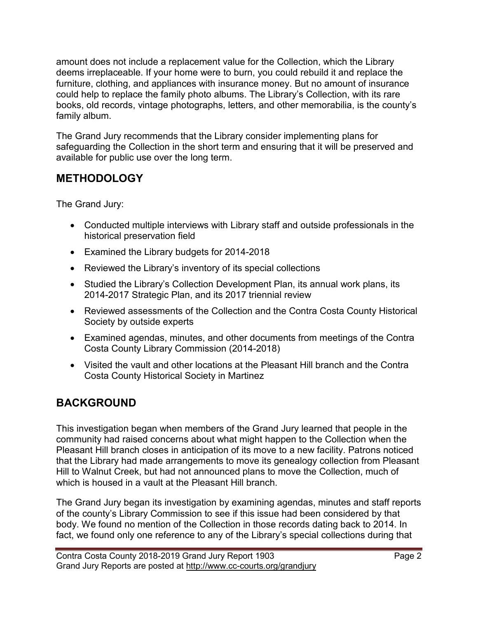amount does not include a replacement value for the Collection, which the Library deems irreplaceable. If your home were to burn, you could rebuild it and replace the furniture, clothing, and appliances with insurance money. But no amount of insurance could help to replace the family photo albums. The Library's Collection, with its rare books, old records, vintage photographs, letters, and other memorabilia, is the county's family album.

The Grand Jury recommends that the Library consider implementing plans for safeguarding the Collection in the short term and ensuring that it will be preserved and available for public use over the long term.

# **METHODOLOGY**

The Grand Jury:

- Conducted multiple interviews with Library staff and outside professionals in the historical preservation field
- Examined the Library budgets for 2014-2018
- Reviewed the Library's inventory of its special collections
- Studied the Library's Collection Development Plan, its annual work plans, its 2014-2017 Strategic Plan, and its 2017 triennial review
- Reviewed assessments of the Collection and the Contra Costa County Historical Society by outside experts
- Examined agendas, minutes, and other documents from meetings of the Contra Costa County Library Commission (2014-2018)
- Visited the vault and other locations at the Pleasant Hill branch and the Contra Costa County Historical Society in Martinez

# **BACKGROUND**

This investigation began when members of the Grand Jury learned that people in the community had raised concerns about what might happen to the Collection when the Pleasant Hill branch closes in anticipation of its move to a new facility. Patrons noticed that the Library had made arrangements to move its genealogy collection from Pleasant Hill to Walnut Creek, but had not announced plans to move the Collection, much of which is housed in a vault at the Pleasant Hill branch.

The Grand Jury began its investigation by examining agendas, minutes and staff reports of the county's Library Commission to see if this issue had been considered by that body. We found no mention of the Collection in those records dating back to 2014. In fact, we found only one reference to any of the Library's special collections during that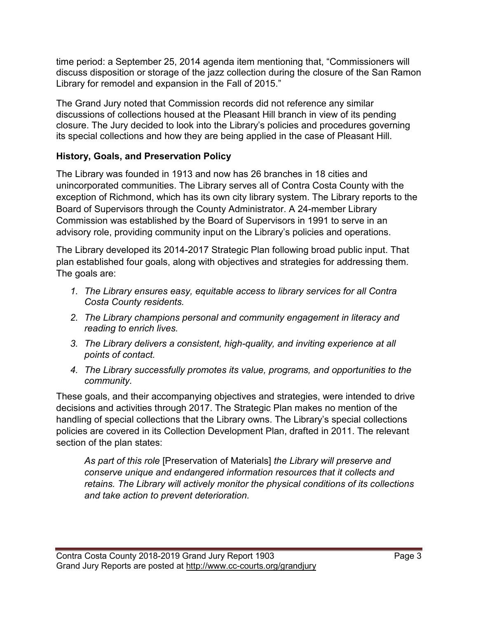time period: a September 25, 2014 agenda item mentioning that, "Commissioners will discuss disposition or storage of the jazz collection during the closure of the San Ramon Library for remodel and expansion in the Fall of 2015."

The Grand Jury noted that Commission records did not reference any similar discussions of collections housed at the Pleasant Hill branch in view of its pending closure. The Jury decided to look into the Library's policies and procedures governing its special collections and how they are being applied in the case of Pleasant Hill.

### **History, Goals, and Preservation Policy**

The Library was founded in 1913 and now has 26 branches in 18 cities and unincorporated communities. The Library serves all of Contra Costa County with the exception of Richmond, which has its own city library system. The Library reports to the Board of Supervisors through the County Administrator. A 24-member Library Commission was established by the Board of Supervisors in 1991 to serve in an advisory role, providing community input on the Library's policies and operations.

The Library developed its 2014-2017 Strategic Plan following broad public input. That plan established four goals, along with objectives and strategies for addressing them. The goals are:

- *1. The Library ensures easy, equitable access to library services for all Contra Costa County residents.*
- *2. The Library champions personal and community engagement in literacy and reading to enrich lives.*
- *3. The Library delivers a consistent, high-quality, and inviting experience at all points of contact.*
- *4. The Library successfully promotes its value, programs, and opportunities to the community.*

These goals, and their accompanying objectives and strategies, were intended to drive decisions and activities through 2017. The Strategic Plan makes no mention of the handling of special collections that the Library owns. The Library's special collections policies are covered in its Collection Development Plan, drafted in 2011. The relevant section of the plan states:

*As part of this role* [Preservation of Materials] *the Library will preserve and conserve unique and endangered information resources that it collects and retains. The Library will actively monitor the physical conditions of its collections and take action to prevent deterioration.*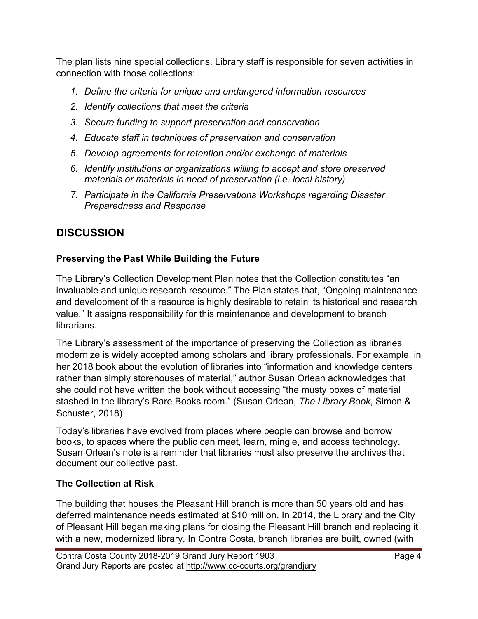The plan lists nine special collections. Library staff is responsible for seven activities in connection with those collections:

- *1. Define the criteria for unique and endangered information resources*
- *2. Identify collections that meet the criteria*
- *3. Secure funding to support preservation and conservation*
- *4. Educate staff in techniques of preservation and conservation*
- *5. Develop agreements for retention and/or exchange of materials*
- *6. Identify institutions or organizations willing to accept and store preserved materials or materials in need of preservation (i.e. local history)*
- *7. Participate in the California Preservations Workshops regarding Disaster Preparedness and Response*

# **DISCUSSION**

## **Preserving the Past While Building the Future**

The Library's Collection Development Plan notes that the Collection constitutes "an invaluable and unique research resource." The Plan states that, "Ongoing maintenance and development of this resource is highly desirable to retain its historical and research value." It assigns responsibility for this maintenance and development to branch librarians.

The Library's assessment of the importance of preserving the Collection as libraries modernize is widely accepted among scholars and library professionals. For example, in her 2018 book about the evolution of libraries into "information and knowledge centers rather than simply storehouses of material," author Susan Orlean acknowledges that she could not have written the book without accessing "the musty boxes of material stashed in the library's Rare Books room." (Susan Orlean, *The Library Book*, Simon & Schuster, 2018)

Today's libraries have evolved from places where people can browse and borrow books, to spaces where the public can meet, learn, mingle, and access technology. Susan Orlean's note is a reminder that libraries must also preserve the archives that document our collective past.

# **The Collection at Risk**

The building that houses the Pleasant Hill branch is more than 50 years old and has deferred maintenance needs estimated at \$10 million. In 2014, the Library and the City of Pleasant Hill began making plans for closing the Pleasant Hill branch and replacing it with a new, modernized library. In Contra Costa, branch libraries are built, owned (with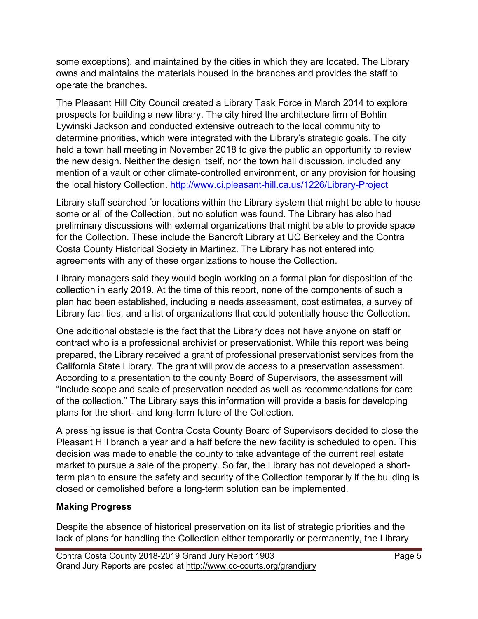some exceptions), and maintained by the cities in which they are located. The Library owns and maintains the materials housed in the branches and provides the staff to operate the branches.

The Pleasant Hill City Council created a Library Task Force in March 2014 to explore prospects for building a new library. The city hired the architecture firm of Bohlin Lywinski Jackson and conducted extensive outreach to the local community to determine priorities, which were integrated with the Library's strategic goals. The city held a town hall meeting in November 2018 to give the public an opportunity to review the new design. Neither the design itself, nor the town hall discussion, included any mention of a vault or other climate-controlled environment, or any provision for housing the local history Collection.<http://www.ci.pleasant-hill.ca.us/1226/Library-Project>

Library staff searched for locations within the Library system that might be able to house some or all of the Collection, but no solution was found. The Library has also had preliminary discussions with external organizations that might be able to provide space for the Collection. These include the Bancroft Library at UC Berkeley and the Contra Costa County Historical Society in Martinez. The Library has not entered into agreements with any of these organizations to house the Collection.

Library managers said they would begin working on a formal plan for disposition of the collection in early 2019. At the time of this report, none of the components of such a plan had been established, including a needs assessment, cost estimates, a survey of Library facilities, and a list of organizations that could potentially house the Collection.

One additional obstacle is the fact that the Library does not have anyone on staff or contract who is a professional archivist or preservationist. While this report was being prepared, the Library received a grant of professional preservationist services from the California State Library. The grant will provide access to a preservation assessment. According to a presentation to the county Board of Supervisors, the assessment will "include scope and scale of preservation needed as well as recommendations for care of the collection." The Library says this information will provide a basis for developing plans for the short- and long-term future of the Collection.

A pressing issue is that Contra Costa County Board of Supervisors decided to close the Pleasant Hill branch a year and a half before the new facility is scheduled to open. This decision was made to enable the county to take advantage of the current real estate market to pursue a sale of the property. So far, the Library has not developed a shortterm plan to ensure the safety and security of the Collection temporarily if the building is closed or demolished before a long-term solution can be implemented.

### **Making Progress**

Despite the absence of historical preservation on its list of strategic priorities and the lack of plans for handling the Collection either temporarily or permanently, the Library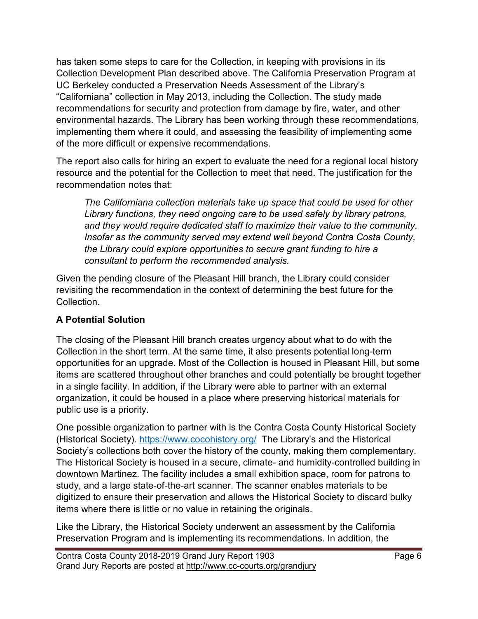has taken some steps to care for the Collection, in keeping with provisions in its Collection Development Plan described above. The California Preservation Program at UC Berkeley conducted a Preservation Needs Assessment of the Library's "Californiana" collection in May 2013, including the Collection. The study made recommendations for security and protection from damage by fire, water, and other environmental hazards. The Library has been working through these recommendations, implementing them where it could, and assessing the feasibility of implementing some of the more difficult or expensive recommendations.

The report also calls for hiring an expert to evaluate the need for a regional local history resource and the potential for the Collection to meet that need. The justification for the recommendation notes that:

*The Californiana collection materials take up space that could be used for other Library functions, they need ongoing care to be used safely by library patrons, and they would require dedicated staff to maximize their value to the community. Insofar as the community served may extend well beyond Contra Costa County, the Library could explore opportunities to secure grant funding to hire a consultant to perform the recommended analysis.*

Given the pending closure of the Pleasant Hill branch, the Library could consider revisiting the recommendation in the context of determining the best future for the **Collection** 

### **A Potential Solution**

The closing of the Pleasant Hill branch creates urgency about what to do with the Collection in the short term. At the same time, it also presents potential long-term opportunities for an upgrade. Most of the Collection is housed in Pleasant Hill, but some items are scattered throughout other branches and could potentially be brought together in a single facility. In addition, if the Library were able to partner with an external organization, it could be housed in a place where preserving historical materials for public use is a priority.

One possible organization to partner with is the Contra Costa County Historical Society (Historical Society).<https://www.cocohistory.org/>The Library's and the Historical Society's collections both cover the history of the county, making them complementary. The Historical Society is housed in a secure, climate- and humidity-controlled building in downtown Martinez. The facility includes a small exhibition space, room for patrons to study, and a large state-of-the-art scanner. The scanner enables materials to be digitized to ensure their preservation and allows the Historical Society to discard bulky items where there is little or no value in retaining the originals.

Like the Library, the Historical Society underwent an assessment by the California Preservation Program and is implementing its recommendations. In addition, the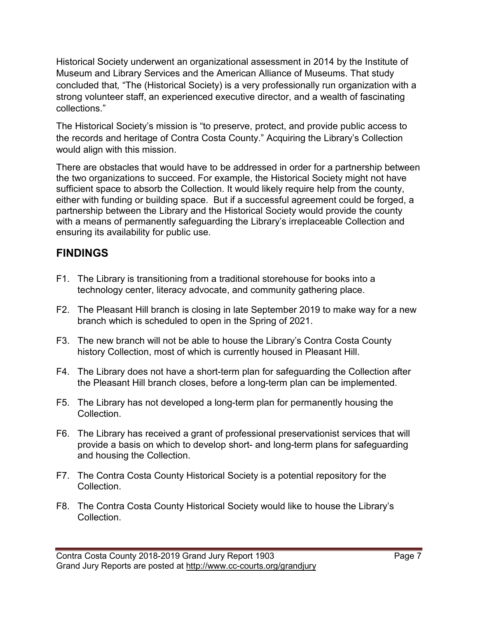Historical Society underwent an organizational assessment in 2014 by the Institute of Museum and Library Services and the American Alliance of Museums. That study concluded that*,* "The (Historical Society) is a very professionally run organization with a strong volunteer staff, an experienced executive director, and a wealth of fascinating collections."

The Historical Society's mission is "to preserve, protect, and provide public access to the records and heritage of Contra Costa County." Acquiring the Library's Collection would align with this mission.

There are obstacles that would have to be addressed in order for a partnership between the two organizations to succeed. For example, the Historical Society might not have sufficient space to absorb the Collection. It would likely require help from the county, either with funding or building space. But if a successful agreement could be forged, a partnership between the Library and the Historical Society would provide the county with a means of permanently safeguarding the Library's irreplaceable Collection and ensuring its availability for public use.

# **FINDINGS**

- F1. The Library is transitioning from a traditional storehouse for books into a technology center, literacy advocate, and community gathering place.
- F2. The Pleasant Hill branch is closing in late September 2019 to make way for a new branch which is scheduled to open in the Spring of 2021.
- F3. The new branch will not be able to house the Library's Contra Costa County history Collection, most of which is currently housed in Pleasant Hill.
- F4. The Library does not have a short-term plan for safeguarding the Collection after the Pleasant Hill branch closes, before a long-term plan can be implemented.
- F5. The Library has not developed a long-term plan for permanently housing the Collection.
- F6. The Library has received a grant of professional preservationist services that will provide a basis on which to develop short- and long-term plans for safeguarding and housing the Collection.
- F7. The Contra Costa County Historical Society is a potential repository for the Collection.
- F8. The Contra Costa County Historical Society would like to house the Library's Collection.